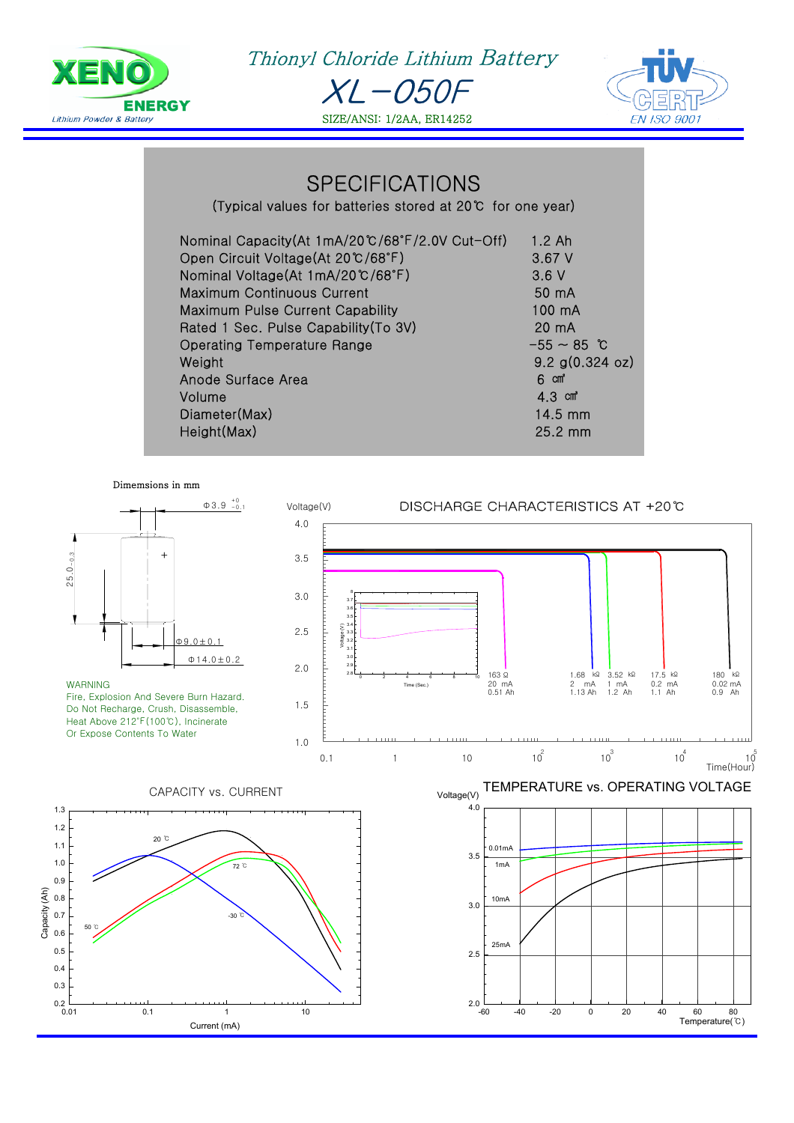

XL-050F **YENO** Thionyl Chloride Lithium Battery



SPECIFICATIONS

SIZE/ANSI: 1/2AA, ER14252

(Typical values for batteries stored at 20℃ for one year)

| Nominal Capacity(At 1mA/20℃/68°F/2.0V Cut-Off) | $1.2$ Ah              |
|------------------------------------------------|-----------------------|
| Open Circuit Voltage(At 20°C/68°F)             | 3.67V                 |
| Nominal Voltage(At 1mA/20℃/68°F)               | 3.6V                  |
| Maximum Continuous Current                     | 50 mA                 |
| <b>Maximum Pulse Current Capability</b>        | 100 mA                |
| Rated 1 Sec. Pulse Capability (To 3V)          | 20 mA                 |
| <b>Operating Temperature Range</b>             | $-55 \sim 85$ °C      |
| Weight                                         | $9.2$ g(0.324 oz)     |
| Anode Surface Area                             | 6 cm <sup>*</sup>     |
| Volume                                         | $4.3$ cm <sup>2</sup> |
| Diameter(Max)                                  | $14.5$ mm             |
| Height(Max)                                    | 25.2 mm               |



Capacity (Ah)